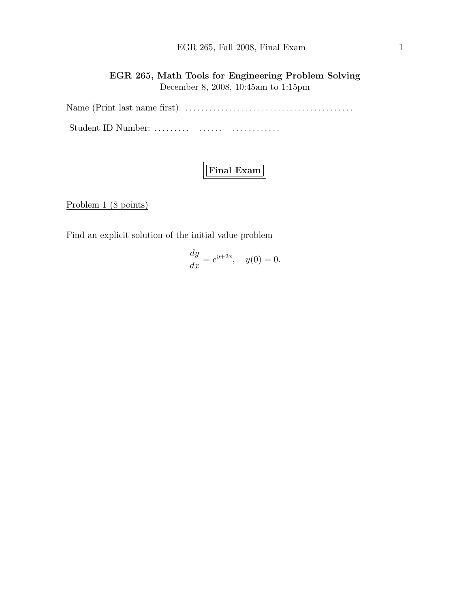## EGR 265, Fall 2008, Final Exam 1

EGR 265, Math Tools for Engineering Problem Solving December 8, 2008, 10:45am to 1:15pm

Name (Print last name first): . . . . . . . . . . . . . . . . . . . . . . . . . . . . . . . . . . . . . . . . . . Student ID Number: ......... ....... ................

# Final Exam

Problem 1 (8 points)

Find an explicit solution of the initial value problem

$$
\frac{dy}{dx} = e^{y+2x}, \quad y(0) = 0.
$$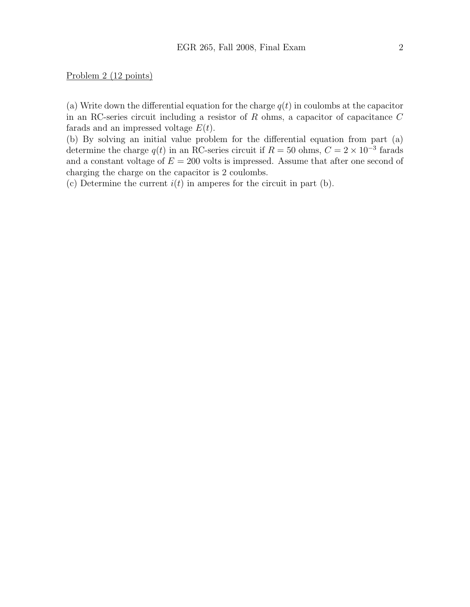Problem 2 (12 points)

(a) Write down the differential equation for the charge  $q(t)$  in coulombs at the capacitor in an RC-series circuit including a resistor of  $R$  ohms, a capacitor of capacitance  $C$ farads and an impressed voltage  $E(t)$ .

(b) By solving an initial value problem for the differential equation from part (a) determine the charge  $q(t)$  in an RC-series circuit if  $R = 50$  ohms,  $C = 2 \times 10^{-3}$  farads and a constant voltage of  $E = 200$  volts is impressed. Assume that after one second of charging the charge on the capacitor is 2 coulombs.

(c) Determine the current  $i(t)$  in amperes for the circuit in part (b).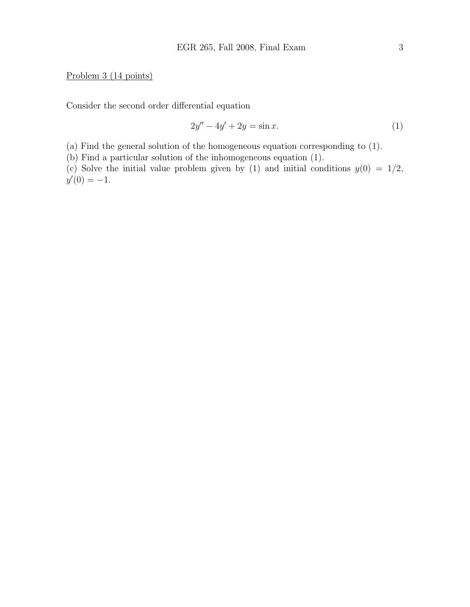#### Problem 3 (14 points)

Consider the second order differential equation

$$
2y'' - 4y' + 2y = \sin x.
$$
 (1)

(a) Find the general solution of the homogeneous equation corresponding to (1).

(b) Find a particular solution of the inhomogeneous equation (1).

(c) Solve the initial value problem given by (1) and initial conditions  $y(0) = 1/2$ ,  $y'(0) = -1.$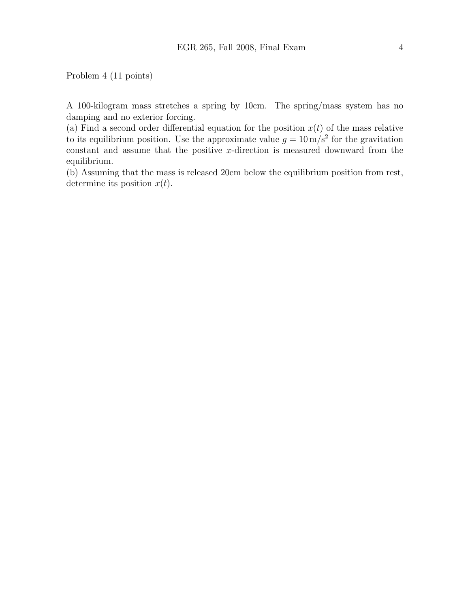Problem 4 (11 points)

A 100-kilogram mass stretches a spring by 10cm. The spring/mass system has no damping and no exterior forcing.

(a) Find a second order differential equation for the position  $x(t)$  of the mass relative to its equilibrium position. Use the approximate value  $g = 10 \,\mathrm{m/s^2}$  for the gravitation constant and assume that the positive  $x$ -direction is measured downward from the equilibrium.

(b) Assuming that the mass is released 20cm below the equilibrium position from rest, determine its position  $x(t)$ .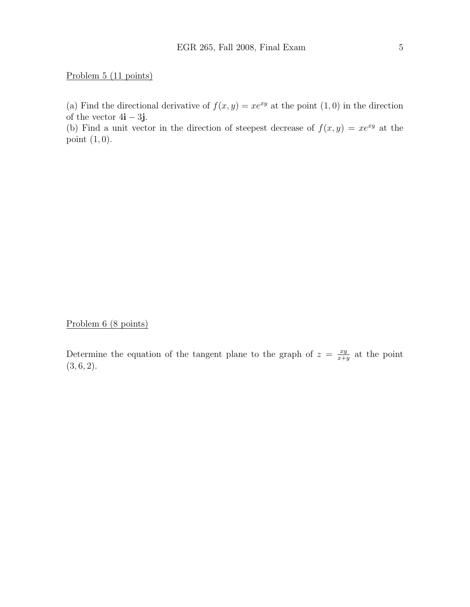### Problem 5 (11 points)

(a) Find the directional derivative of  $f(x, y) = xe^{xy}$  at the point  $(1, 0)$  in the direction of the vector  $4\mathbf{i} - 3\mathbf{j}$ .

(b) Find a unit vector in the direction of steepest decrease of  $f(x, y) = xe^{xy}$  at the point  $(1, 0)$ .

Problem 6 (8 points)

Determine the equation of the tangent plane to the graph of  $z = \frac{xy}{x+1}$  $\frac{xy}{x+y}$  at the point  $(3, 6, 2).$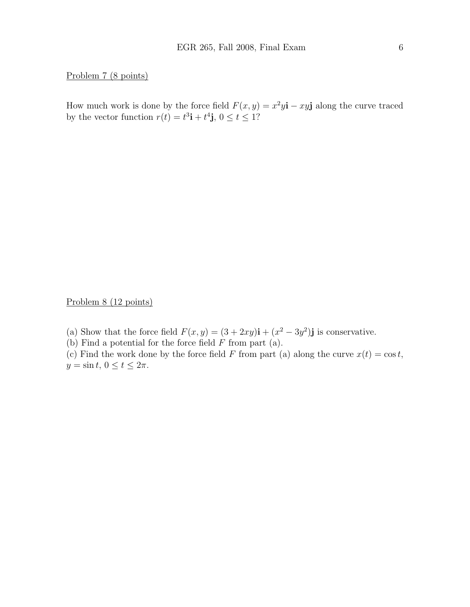Problem 7 (8 points)

How much work is done by the force field  $F(x, y) = x^2y\mathbf{i} - xy\mathbf{j}$  along the curve traced by the vector function  $r(t) = t^3 \mathbf{i} + t^4 \mathbf{j}$ ,  $0 \le t \le 1$ ?

Problem 8 (12 points)

(a) Show that the force field  $F(x, y) = (3 + 2xy)\mathbf{i} + (x^2 - 3y^2)\mathbf{j}$  is conservative.

(b) Find a potential for the force field  $F$  from part (a).

(c) Find the work done by the force field F from part (a) along the curve  $x(t) = \cos t$ ,  $y = \sin t, 0 \le t \le 2\pi.$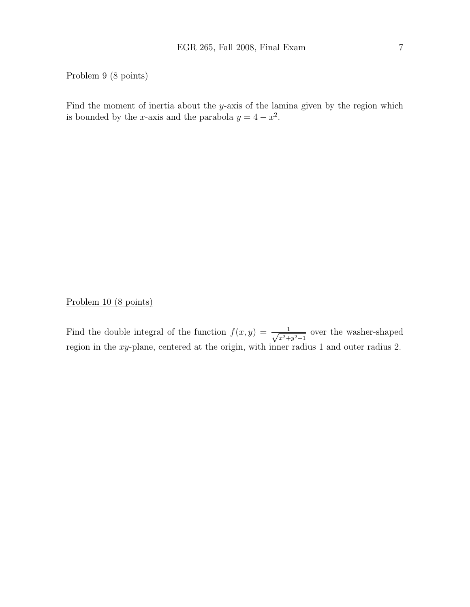#### Problem 9 (8 points)

Find the moment of inertia about the y-axis of the lamina given by the region which is bounded by the x-axis and the parabola  $y = 4 - x^2$ .

### Problem 10 (8 points)

Find the double integral of the function  $f(x, y) = \frac{1}{\sqrt{2}}$  $\frac{1}{x^2+y^2+1}$  over the washer-shaped region in the xy-plane, centered at the origin, with inner radius 1 and outer radius 2.